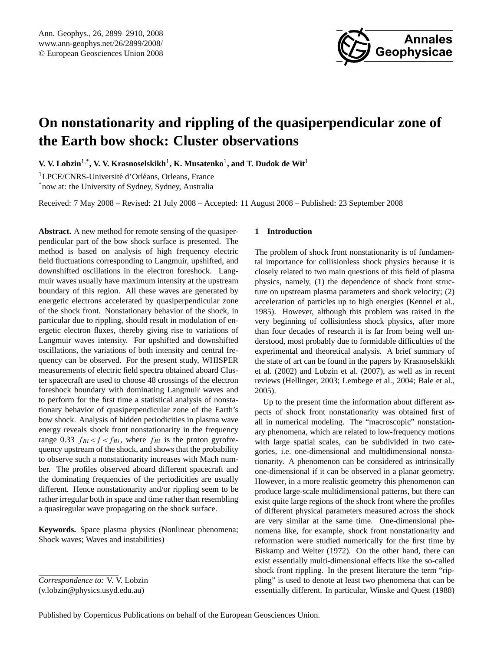

# <span id="page-0-0"></span>**On nonstationarity and rippling of the quasiperpendicular zone of the Earth bow shock: Cluster observations**

**V. V. Lobzin<sup>1,\*</sup>, V. V. Krasnoselskikh<sup>1</sup>, K. Musatenko<sup>1</sup>, and T. Dudok de Wit<sup>1</sup>** 

<sup>1</sup>LPCE/CNRS-Université d'Orléans, Orleans, France \*now at: the University of Sydney, Sydney, Australia

Received: 7 May 2008 – Revised: 21 July 2008 – Accepted: 11 August 2008 – Published: 23 September 2008

**Abstract.** A new method for remote sensing of the quasiperpendicular part of the bow shock surface is presented. The method is based on analysis of high frequency electric field fluctuations corresponding to Langmuir, upshifted, and downshifted oscillations in the electron foreshock. Langmuir waves usually have maximum intensity at the upstream boundary of this region. All these waves are generated by energetic electrons accelerated by quasiperpendicular zone of the shock front. Nonstationary behavior of the shock, in particular due to rippling, should result in modulation of energetic electron fluxes, thereby giving rise to variations of Langmuir waves intensity. For upshifted and downshifted oscillations, the variations of both intensity and central frequency can be observed. For the present study, WHISPER measurements of electric field spectra obtained aboard Cluster spacecraft are used to choose 48 crossings of the electron foreshock boundary with dominating Langmuir waves and to perform for the first time a statistical analysis of nonstationary behavior of quasiperpendicular zone of the Earth's bow shock. Analysis of hidden periodicities in plasma wave energy reveals shock front nonstationarity in the frequency range 0.33  $f_{Bi} < f < f_{Bi}$ , where  $f_{Bi}$  is the proton gyrofrequency upstream of the shock, and shows that the probability to observe such a nonstationarity increases with Mach number. The profiles observed aboard different spacecraft and the dominating frequencies of the periodicities are usually different. Hence nonstationarity and/or rippling seem to be rather irregular both in space and time rather than resembling a quasiregular wave propagating on the shock surface.

**Keywords.** Space plasma physics (Nonlinear phenomena; Shock waves; Waves and instabilities)

# *Correspondence to:* V. V. Lobzin

(v.lobzin@physics.usyd.edu.au)

## **1 Introduction**

The problem of shock front nonstationarity is of fundamental importance for collisionless shock physics because it is closely related to two main questions of this field of plasma physics, namely, (1) the dependence of shock front structure on upstream plasma parameters and shock velocity; (2) acceleration of particles up to high energies (Kennel et al., 1985). However, although this problem was raised in the very beginning of collisionless shock physics, after more than four decades of research it is far from being well understood, most probably due to formidable difficulties of the experimental and theoretical analysis. A brief summary of the state of art can be found in the papers by Krasnoselskikh et al. (2002) and Lobzin et al. (2007), as well as in recent reviews (Hellinger, 2003; Lembege et al., 2004; Bale et al., 2005).

Up to the present time the information about different aspects of shock front nonstationarity was obtained first of all in numerical modeling. The "macroscopic" nonstationary phenomena, which are related to low-frequency motions with large spatial scales, can be subdivided in two categories, i.e. one-dimensional and multidimensional nonstationarity. A phenomenon can be considered as intrinsically one-dimensional if it can be observed in a planar geometry. However, in a more realistic geometry this phenomenon can produce large-scale multidimensional patterns, but there can exist quite large regions of the shock front where the profiles of different physical parameters measured across the shock are very similar at the same time. One-dimensional phenomena like, for example, shock front nonstationarity and reformation were studied numerically for the first time by Biskamp and Welter (1972). On the other hand, there can exist essentially multi-dimensional effects like the so-called shock front rippling. In the present literature the term "rippling" is used to denote at least two phenomena that can be essentially different. In particular, Winske and Quest (1988)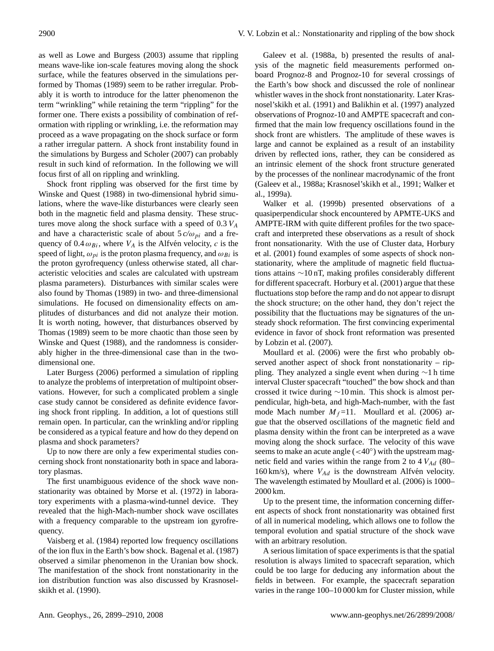as well as Lowe and Burgess (2003) assume that rippling means wave-like ion-scale features moving along the shock surface, while the features observed in the simulations performed by Thomas (1989) seem to be rather irregular. Probably it is worth to introduce for the latter phenomenon the term "wrinkling" while retaining the term "rippling" for the former one. There exists a possibility of combination of reformation with rippling or wrinkling, i.e. the reformation may proceed as a wave propagating on the shock surface or form a rather irregular pattern. A shock front instability found in the simulations by Burgess and Scholer (2007) can probably result in such kind of reformation. In the following we will focus first of all on rippling and wrinkling.

Shock front rippling was observed for the first time by Winske and Quest (1988) in two-dimensional hybrid simulations, where the wave-like disturbances were clearly seen both in the magnetic field and plasma density. These structures move along the shock surface with a speed of  $0.3 V_A$ and have a characteristic scale of about  $5 c/\omega_{pi}$  and a frequency of  $0.4 \omega_{Bi}$ , where  $V_A$  is the Alfvén velocity, c is the speed of light,  $\omega_{pi}$  is the proton plasma frequency, and  $\omega_{Bi}$  is the proton gyrofrequency (unless otherwise stated, all characteristic velocities and scales are calculated with upstream plasma parameters). Disturbances with similar scales were also found by Thomas (1989) in two- and three-dimensional simulations. He focused on dimensionality effects on amplitudes of disturbances and did not analyze their motion. It is worth noting, however, that disturbances observed by Thomas (1989) seem to be more chaotic than those seen by Winske and Quest (1988), and the randomness is considerably higher in the three-dimensional case than in the twodimensional one.

Later Burgess (2006) performed a simulation of rippling to analyze the problems of interpretation of multipoint observations. However, for such a complicated problem a single case study cannot be considered as definite evidence favoring shock front rippling. In addition, a lot of questions still remain open. In particular, can the wrinkling and/or rippling be considered as a typical feature and how do they depend on plasma and shock parameters?

Up to now there are only a few experimental studies concerning shock front nonstationarity both in space and laboratory plasmas.

The first unambiguous evidence of the shock wave nonstationarity was obtained by Morse et al. (1972) in laboratory experiments with a plasma-wind-tunnel device. They revealed that the high-Mach-number shock wave oscillates with a frequency comparable to the upstream ion gyrofrequency.

Vaisberg et al. (1984) reported low frequency oscillations of the ion flux in the Earth's bow shock. Bagenal et al. (1987) observed a similar phenomenon in the Uranian bow shock. The manifestation of the shock front nonstationarity in the ion distribution function was also discussed by Krasnoselskikh et al. (1990).

Galeev et al. (1988a, b) presented the results of analysis of the magnetic field measurements performed onboard Prognoz-8 and Prognoz-10 for several crossings of the Earth's bow shock and discussed the role of nonlinear whistler waves in the shock front nonstationarity. Later Krasnosel'skikh et al. (1991) and Balikhin et al. (1997) analyzed observations of Prognoz-10 and AMPTE spacecraft and confirmed that the main low frequency oscillations found in the shock front are whistlers. The amplitude of these waves is large and cannot be explained as a result of an instability driven by reflected ions, rather, they can be considered as an intrinsic element of the shock front structure generated by the processes of the nonlinear macrodynamic of the front (Galeev et al., 1988a; Krasnosel'skikh et al., 1991; Walker et al., 1999a).

Walker et al. (1999b) presented observations of a quasiperpendicular shock encountered by APMTE-UKS and AMPTE-IRM with quite different profiles for the two spacecraft and interpreted these observations as a result of shock front nonsationarity. With the use of Cluster data, Horbury et al. (2001) found examples of some aspects of shock nonstationarity, where the amplitude of magnetic field fluctuations attains ∼10 nT, making profiles considerably different for different spacecraft. Horbury et al. (2001) argue that these fluctuations stop before the ramp and do not appear to disrupt the shock structure; on the other hand, they don't reject the possibility that the fluctuations may be signatures of the unsteady shock reformation. The first convincing experimental evidence in favor of shock front reformation was presented by Lobzin et al. (2007).

Moullard et al. (2006) were the first who probably observed another aspect of shock front nonstationarity – rippling. They analyzed a single event when during ∼1 h time interval Cluster spacecraft "touched" the bow shock and than crossed it twice during ∼10 min. This shock is almost perpendicular, high-beta, and high-Mach-number, with the fast mode Mach number  $M_f = 11$ . Moullard et al. (2006) argue that the observed oscillations of the magnetic field and plasma density within the front can be interpreted as a wave moving along the shock surface. The velocity of this wave seems to make an acute angle  $( $40°$ ) with the upstream mag$ netic field and varies within the range from 2 to 4  $V_{Ad}$  (80– 160 km/s), where  $V_{Ad}$  is the downstream Alfvén velocity. The wavelength estimated by Moullard et al. (2006) is 1000– 2000 km.

Up to the present time, the information concerning different aspects of shock front nonstationarity was obtained first of all in numerical modeling, which allows one to follow the temporal evolution and spatial structure of the shock wave with an arbitrary resolution.

A serious limitation of space experiments is that the spatial resolution is always limited to spacecraft separation, which could be too large for deducing any information about the fields in between. For example, the spacecraft separation varies in the range 100–10 000 km for Cluster mission, while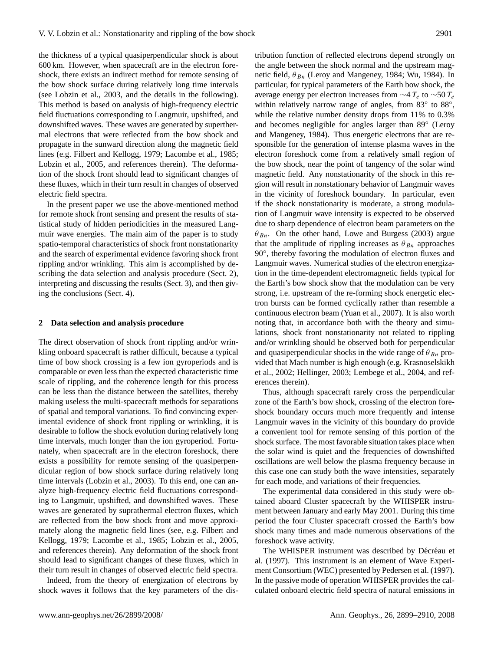the thickness of a typical quasiperpendicular shock is about 600 km. However, when spacecraft are in the electron foreshock, there exists an indirect method for remote sensing of the bow shock surface during relatively long time intervals (see Lobzin et al., 2003, and the details in the following). This method is based on analysis of high-frequency electric field fluctuations corresponding to Langmuir, upshifted, and downshifted waves. These waves are generated by superthermal electrons that were reflected from the bow shock and propagate in the sunward direction along the magnetic field lines (e.g. Filbert and Kellogg, 1979; Lacombe et al., 1985; Lobzin et al., 2005, and references therein). The deformation of the shock front should lead to significant changes of these fluxes, which in their turn result in changes of observed electric field spectra.

In the present paper we use the above-mentioned method for remote shock front sensing and present the results of statistical study of hidden periodicities in the measured Langmuir wave energies. The main aim of the paper is to study spatio-temporal characteristics of shock front nonstationarity and the search of experimental evidence favoring shock front rippling and/or wrinkling. This aim is accomplished by describing the data selection and analysis procedure (Sect. 2), interpreting and discussing the results (Sect. 3), and then giving the conclusions (Sect. 4).

#### **2 Data selection and analysis procedure**

The direct observation of shock front rippling and/or wrinkling onboard spacecraft is rather difficult, because a typical time of bow shock crossing is a few ion gyroperiods and is comparable or even less than the expected characteristic time scale of rippling, and the coherence length for this process can be less than the distance between the satellites, thereby making useless the multi-spacecraft methods for separations of spatial and temporal variations. To find convincing experimental evidence of shock front rippling or wrinkling, it is desirable to follow the shock evolution during relatively long time intervals, much longer than the ion gyroperiod. Fortunately, when spacecraft are in the electron foreshock, there exists a possibility for remote sensing of the quasiperpendicular region of bow shock surface during relatively long time intervals (Lobzin et al., 2003). To this end, one can analyze high-frequency electric field fluctuations corresponding to Langmuir, upshifted, and downshifted waves. These waves are generated by suprathermal electron fluxes, which are reflected from the bow shock front and move approximately along the magnetic field lines (see, e.g. Filbert and Kellogg, 1979; Lacombe et al., 1985; Lobzin et al., 2005, and references therein). Any deformation of the shock front should lead to significant changes of these fluxes, which in their turn result in changes of observed electric field spectra.

Indeed, from the theory of energization of electrons by shock waves it follows that the key parameters of the distribution function of reflected electrons depend strongly on the angle between the shock normal and the upstream magnetic field,  $\theta_{Bn}$  (Leroy and Mangeney, 1984; Wu, 1984). In particular, for typical parameters of the Earth bow shock, the average energy per electron increases from  $\sim$ 4 T<sub>e</sub> to  $\sim$ 50 T<sub>e</sub> within relatively narrow range of angles, from 83° to 88°, while the relative number density drops from 11% to 0.3% and becomes negligible for angles larger than 89◦ (Leroy and Mangeney, 1984). Thus energetic electrons that are responsible for the generation of intense plasma waves in the electron foreshock come from a relatively small region of the bow shock, near the point of tangency of the solar wind magnetic field. Any nonstationarity of the shock in this region will result in nonstationary behavior of Langmuir waves in the vicinity of foreshock boundary. In particular, even if the shock nonstationarity is moderate, a strong modulation of Langmuir wave intensity is expected to be observed due to sharp dependence of electron beam parameters on the  $\theta_{Bn}$ . On the other hand, Lowe and Burgess (2003) argue that the amplitude of rippling increases as  $\theta_{Bn}$  approaches 90°, thereby favoring the modulation of electron fluxes and Langmuir waves. Numerical studies of the electron energization in the time-dependent electromagnetic fields typical for the Earth's bow shock show that the modulation can be very strong, i.e. upstream of the re-forming shock energetic electron bursts can be formed cyclically rather than resemble a continuous electron beam (Yuan et al., 2007). It is also worth noting that, in accordance both with the theory and simulations, shock front nonstationarity not related to rippling and/or wrinkling should be observed both for perpendicular and quasiperpendicular shocks in the wide range of  $\theta_{Bn}$  provided that Mach number is high enough (e.g. Krasnoselskikh et al., 2002; Hellinger, 2003; Lembege et al., 2004, and references therein).

Thus, although spacecraft rarely cross the perpendicular zone of the Earth's bow shock, crossing of the electron foreshock boundary occurs much more frequently and intense Langmuir waves in the vicinity of this boundary do provide a convenient tool for remote sensing of this portion of the shock surface. The most favorable situation takes place when the solar wind is quiet and the frequencies of downshifted oscillations are well below the plasma frequency because in this case one can study both the wave intensities, separately for each mode, and variations of their frequencies.

The experimental data considered in this study were obtained aboard Cluster spacecraft by the WHISPER instrument between January and early May 2001. During this time period the four Cluster spacecraft crossed the Earth's bow shock many times and made numerous observations of the foreshock wave activity.

The WHISPER instrument was described by Décréau et al. (1997). This instrument is an element of Wave Experiment Consortium (WEC) presented by Pedersen et al. (1997). In the passive mode of operation WHISPER provides the calculated onboard electric field spectra of natural emissions in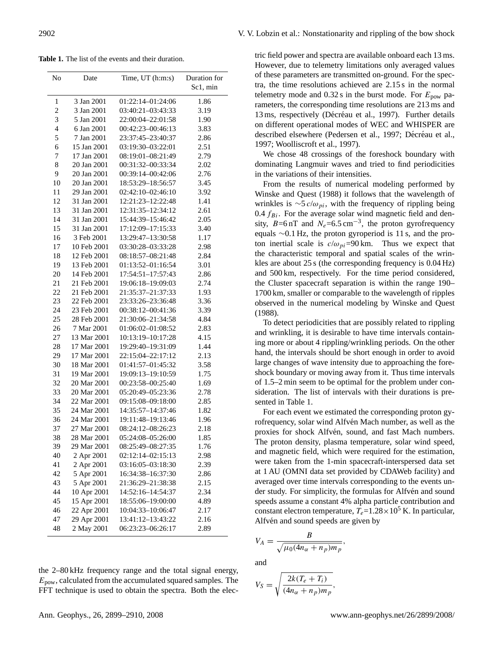**Table 1.** The list of the events and their duration.

| No             | Date        | Time, $UT$ (h:m:s)    | Duration for |
|----------------|-------------|-----------------------|--------------|
|                |             |                       | Sc1, min     |
| 1              | 3 Jan 2001  | 01:22:14-01:24:06     | 1.86         |
| $\overline{c}$ | 3 Jan 2001  | 03:40:21-03:43:33     | 3.19         |
| 3              | 5 Jan 2001  | 22:00:04-22:01:58     | 1.90         |
| 4              | 6 Jan 2001  | 00:42:23-00:46:13     | 3.83         |
| 5              | 7 Jan 2001  | 23:37:45-23:40:37     | 2.86         |
| 6              | 15 Jan 2001 | 03:19:30-03:22:01     | 2.51         |
| 7              | 17 Jan 2001 | 08:19:01-08:21:49     | 2.79         |
| 8              | 20 Jan 2001 | 00:31:32-00:33:34     | 2.02         |
| 9              | 20 Jan 2001 | 00:39:14-00:42:06     | 2.76         |
|                |             | 18:53:29-18:56:57     |              |
| 10             | 20 Jan 2001 |                       | 3.45         |
| 11             | 29 Jan 2001 | 02:42:10-02:46:10     | 3.92         |
| 12             | 31 Jan 2001 | 12:21:23-12:22:48     | 1.41         |
| 13             | 31 Jan 2001 | 12:31:35-12:34:12     | 2.61         |
| 14             | 31 Jan 2001 | 15:44:39-15:46:42     | 2.05         |
| 15             | 31 Jan 2001 | 17:12:09-17:15:33     | 3.40         |
| 16             | 3 Feb 2001  | 13:29:47-13:30:58     | 1.17         |
| 17             | 10 Feb 2001 | 03:30:28-03:33:28     | 2.98         |
| 18             | 12 Feb 2001 | 08:18:57-08:21:48     | 2.84         |
| 19             | 13 Feb 2001 | $01:13:52-01:16:54$   | 3.01         |
| 20             | 14 Feb 2001 | 17:54:51-17:57:43     | 2.86         |
| 21             | 21 Feb 2001 | 19:06:18-19:09:03     | 2.74         |
| 22             | 21 Feb 2001 | 21:35:37–21:37:33     | 1.93         |
| 23             | 22 Feb 2001 | 23:33:26-23:36:48     | 3.36         |
| 24             | 23 Feb 2001 | 00:38:12-00:41:36     | 3.39         |
| 25             | 28 Feb 2001 | 21:30:06-21:34:58     | 4.84         |
| 26             | 7 Mar 2001  | 01:06:02-01:08:52     | 2.83         |
| 27             | 13 Mar 2001 | 10:13:19-10:17:28     | 4.15         |
| 28             | 17 Mar 2001 | 19:29:40-19:31:09     | 1.44         |
| 29             | 17 Mar 2001 | 22:15:04-22:17:12     | 2.13         |
| 30             | 18 Mar 2001 | 01:41:57-01:45:32     | 3.58         |
| 31             | 19 Mar 2001 | 19:09:13-19:10:59     | 1.75         |
| 32             | 20 Mar 2001 | 00:23:58-00:25:40     | 1.69         |
| 33             | 20 Mar 2001 | 05:20:49-05:23:36     | 2.78         |
| 34             | 22 Mar 2001 | 09:15:08-09:18:00     | 2.85         |
| 35             | 24 Mar 2001 | 14:35:57-14:37:46     | 1.82         |
| 36             | 24 Mar 2001 | 19:11:48-19:13:46     | 1.96         |
| 37             | 27 Mar 2001 | 08:24:12-08:26:23     | 2.18         |
| 38             | 28 Mar 2001 | 05:24:08-05:26:00     | 1.85         |
| 39             | 29 Mar 2001 | 08:25:49-08:27:35     | 1.76         |
| 40             | 2 Apr 2001  | $02:12:14 - 02:15:13$ | 2.98         |
| 41             | 2 Apr 2001  | 03:16:05-03:18:30     | 2.39         |
| 42             | 5 Apr 2001  | 16:34:38-16:37:30     | 2.86         |
| 43             | 5 Apr 2001  | 21:36:29-21:38:38     | 2.15         |
| 44             | 10 Apr 2001 | 14:52:16-14:54:37     | 2.34         |
| 45             | 15 Apr 2001 | 18:55:06-19:00:00     | 4.89         |
| 46             | 22 Apr 2001 | 10:04:33-10:06:47     | 2.17         |
| 47             | 29 Apr 2001 | 13:41:12-13:43:22     | 2.16         |
| 48             | 2 May 2001  | 06:23:23-06:26:17     | 2.89         |
|                |             |                       |              |

the 2–80 kHz frequency range and the total signal energy,  $E_{\text{pow}}$ , calculated from the accumulated squared samples. The FFT technique is used to obtain the spectra. Both the electric field power and spectra are available onboard each 13 ms. However, due to telemetry limitations only averaged values of these parameters are transmitted on-ground. For the spectra, the time resolutions achieved are 2.15 s in the normal telemetry mode and  $0.32$  s in the burst mode. For  $E_{\text{now}}$  parameters, the corresponding time resolutions are 213 ms and 13 ms, respectively (Décréau et al., 1997). Further details on different operational modes of WEC and WHISPER are described elsewhere (Pedersen et al., 1997; Décréau et al., 1997; Woolliscroft et al., 1997).

We chose 48 crossings of the foreshock boundary with dominating Langmuir waves and tried to find periodicities in the variations of their intensities.

From the results of numerical modeling performed by Winske and Quest (1988) it follows that the wavelength of wrinkles is  $\sim$ 5 c/ $\omega_{pi}$ , with the frequency of rippling being 0.4  $f_{Bi}$ . For the average solar wind magnetic field and density, B=6 nT and  $N_e$ =6.5 cm<sup>-3</sup>, the proton gyrofrequency equals ∼0.1 Hz, the proton gyroperiod is 11 s, and the proton inertial scale is  $c/\omega_{pi} = 90 \text{ km}$ . Thus we expect that the characteristic temporal and spatial scales of the wrinkles are about 25 s (the corresponding frequency is 0.04 Hz) and 500 km, respectively. For the time period considered, the Cluster spacecraft separation is within the range 190– 1700 km, smaller or comparable to the wavelength of ripples observed in the numerical modeling by Winske and Quest (1988).

To detect periodicities that are possibly related to rippling and wrinkling, it is desirable to have time intervals containing more or about 4 rippling/wrinkling periods. On the other hand, the intervals should be short enough in order to avoid large changes of wave intensity due to approaching the foreshock boundary or moving away from it. Thus time intervals of 1.5–2 min seem to be optimal for the problem under consideration. The list of intervals with their durations is presented in Table 1.

For each event we estimated the corresponding proton gyrofrequency, solar wind Alfvén Mach number, as well as the proxies for shock Alfvén, sound, and fast Mach numbers. The proton density, plasma temperature, solar wind speed, and magnetic field, which were required for the estimation, were taken from the 1-min spacecraft-interspersed data set at 1 AU (OMNI data set provided by CDAWeb facility) and averaged over time intervals corresponding to the events under study. For simplicity, the formulas for Alfvén and sound speeds assume a constant 4% alpha particle contribution and constant electron temperature,  $T_e=1.28\times10^5$  K. In particular, Alfvén and sound speeds are given by

$$
V_A = \frac{B}{\sqrt{\mu_0 (4n_\alpha + n_p)m_p}},
$$

and

$$
V_S = \sqrt{\frac{2k(T_e + T_i)}{(4n_\alpha + n_p)m_p}},
$$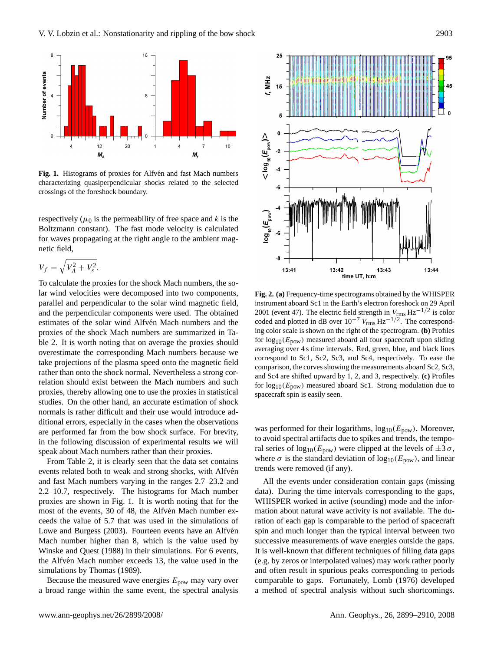

Fig. 1. Histograms of proxies for Alfvén and fast Mach numbers characterizing quasiperpendicular shocks related to the selected crossings of the foreshock boundary.

respectively ( $\mu_0$  is the permeability of free space and k is the Boltzmann constant). The fast mode velocity is calculated for waves propagating at the right angle to the ambient magnetic field,

$$
V_f = \sqrt{V_A^2 + V_s^2}.
$$

To calculate the proxies for the shock Mach numbers, the solar wind velocities were decomposed into two components, parallel and perpendicular to the solar wind magnetic field, and the perpendicular components were used. The obtained estimates of the solar wind Alfvén Mach numbers and the proxies of the shock Mach numbers are summarized in Table 2. It is worth noting that on average the proxies should overestimate the corresponding Mach numbers because we take projections of the plasma speed onto the magnetic field rather than onto the shock normal. Nevertheless a strong correlation should exist between the Mach numbers and such proxies, thereby allowing one to use the proxies in statistical studies. On the other hand, an accurate estimation of shock normals is rather difficult and their use would introduce additional errors, especially in the cases when the observations are performed far from the bow shock surface. For brevity, in the following discussion of experimental results we will speak about Mach numbers rather than their proxies.

From Table 2, it is clearly seen that the data set contains events related both to weak and strong shocks, with Alfvén and fast Mach numbers varying in the ranges 2.7–23.2 and 2.2–10.7, respectively. The histograms for Mach number proxies are shown in Fig. 1. It is worth noting that for the most of the events, 30 of 48, the Alfvén Mach number exceeds the value of 5.7 that was used in the simulations of Lowe and Burgess (2003). Fourteen events have an Alfvén Mach number higher than 8, which is the value used by Winske and Quest (1988) in their simulations. For 6 events, the Alfvén Mach number exceeds 13, the value used in the simulations by Thomas (1989).

Because the measured wave energies  $E_{\text{pow}}$  may vary over a broad range within the same event, the spectral analysis



**Fig. 2. (a)** Frequency-time spectrograms obtained by the WHISPER instrument aboard Sc1 in the Earth's electron foreshock on 29 April 2001 (event 47). The electric field strength in  $V_{\text{rms}}$  Hz<sup>-1/2</sup> is color coded and plotted in dB over  $10^{-7}$   $V_{\text{rms}}$  Hz<sup>-1/2</sup>. The corresponding color scale is shown on the right of the spectrogram. **(b)** Profiles for  $log_{10}(E_{\text{pow}})$  measured aboard all four spacecraft upon sliding averaging over 4 s time intervals. Red, green, blue, and black lines correspond to Sc1, Sc2, Sc3, and Sc4, respectively. To ease the comparison, the curves showing the measurements aboard Sc2, Sc3, and Sc4 are shifted upward by 1, 2, and 3, respectively. **(c)** Profiles for  $log_{10}(E_{\text{pow}})$  measured aboard Sc1. Strong modulation due to spacecraft spin is easily seen.

was performed for their logarithms,  $log_{10}(E_{\text{pow}})$ . Moreover, to avoid spectral artifacts due to spikes and trends, the temporal series of  $log_{10}(E_{\text{pow}})$  were clipped at the levels of  $\pm 3\sigma$ , where  $\sigma$  is the standard deviation of log<sub>10</sub>( $E_{\text{pow}}$ ), and linear trends were removed (if any).

All the events under consideration contain gaps (missing data). During the time intervals corresponding to the gaps, WHISPER worked in active (sounding) mode and the information about natural wave activity is not available. The duration of each gap is comparable to the period of spacecraft spin and much longer than the typical interval between two successive measurements of wave energies outside the gaps. It is well-known that different techniques of filling data gaps (e.g. by zeros or interpolated values) may work rather poorly and often result in spurious peaks corresponding to periods comparable to gaps. Fortunately, Lomb (1976) developed a method of spectral analysis without such shortcomings.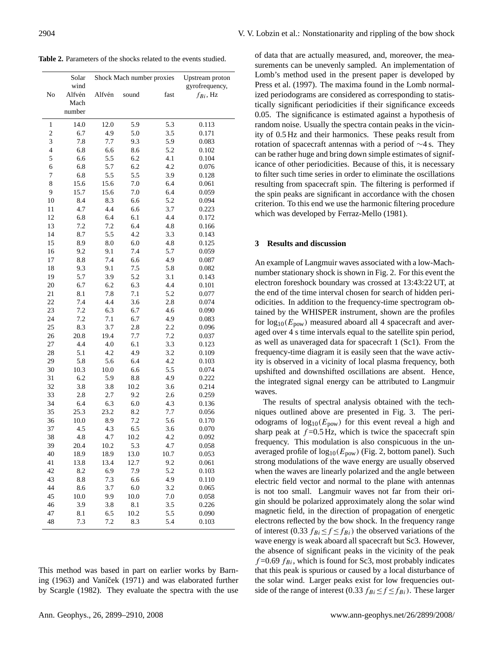**Table 2.** Parameters of the shocks related to the events studied.

| Alfvén<br>No<br>Alfvén<br>sound<br>fast<br>$f_{Bi}$ , Hz<br>Mach<br>number<br>14.0<br>12.0<br>5.9<br>5.3<br>$\mathbf{1}$<br>0.113<br>$\overline{\mathbf{c}}$<br>6.7<br>4.9<br>5.0<br>3.5<br>0.171<br>3<br>5.9<br>7.8<br>7.7<br>9.3<br>0.083<br>$\overline{4}$<br>6.8<br>6.6<br>8.6<br>5.2<br>0.102<br>5<br>5.5<br>4.1<br>6.6<br>6.2<br>0.104<br>6<br>6.8<br>5.7<br>6.2<br>4.2<br>0.076<br>7<br>5.5<br>5.5<br>3.9<br>6.8<br>0.128<br>8<br>6.4<br>15.6<br>15.6<br>7.0<br>0.061<br>9<br>15.7<br>6.4<br>15.6<br>7.0<br>0.059<br>8.3<br>5.2<br>10<br>8.4<br>6.6<br>0.094<br>11<br>4.7<br>4.4<br>6.6<br>3.7<br>0.223<br>12<br>6.8<br>6.4<br>6.1<br>4.4<br>0.172<br>13<br>6.4<br>7.2<br>7.2<br>4.8<br>0.166<br>14<br>8.7<br>5.5<br>4.2<br>3.3<br>0.143<br>15<br>8.9<br>4.8<br>8.0<br>6.0<br>0.125<br>5.7<br>16<br>9.2<br>9.1<br>7.4<br>0.059<br>17<br>8.8<br>7.4<br>6.6<br>4.9<br>0.087<br>18<br>9.3<br>9.1<br>7.5<br>5.8<br>0.082<br>5.7<br>3.9<br>5.2<br>3.1<br>19<br>0.143<br>20<br>6.7<br>6.2<br>6.3<br>4.4<br>0.101<br>21<br>8.1<br>7.8<br>7.1<br>5.2<br>0.077<br>22<br>3.6<br>2.8<br>7.4<br>4.4<br>0.074<br>23<br>7.2<br>6.3<br>6.7<br>4.6<br>0.090<br>24<br>7.2<br>7.1<br>6.7<br>4.9<br>0.083<br>25<br>8.3<br>2.2<br>3.7<br>2.8<br>0.096<br>26<br>20.8<br>19.4<br>7.7<br>7.2<br>0.037<br>27<br>3.3<br>4.4<br>4.0<br>6.1<br>0.123<br>28<br>5.1<br>4.2<br>4.9<br>3.2<br>0.109<br>29<br>5.8<br>5.6<br>4.2<br>6.4<br>0.103<br>30<br>10.3<br>5.5<br>10.0<br>6.6<br>0.074<br>31<br>6.2<br>5.9<br>8.8<br>4.9<br>0.222<br>32<br>3.8<br>3.8<br>10.2<br>3.6<br>0.214<br>33<br>2.8<br>2.7<br>9.2<br>0.259<br>2.6<br>34<br>6.4<br>6.3<br>6.0<br>4.3<br>0.136<br>35<br>25.3<br>23.2<br>8.2<br>7.7<br>0.056<br>36<br>8.9<br>10.0<br>7.2<br>5.6<br>0.170<br>37<br>6.5<br>4.5<br>4.3<br>3.6<br>0.070<br>38<br>4.8<br>4.7<br>10.2<br>4.2<br>0.092<br>39<br>20.4<br>5.3<br>10.2<br>4.7<br>0.058<br>40<br>18.9<br>18.9<br>13.0<br>10.7<br>0.053<br>41<br>13.8<br>13.4<br>12.7<br>9.2<br>0.061<br>42<br>7.9<br>5.2<br>8.2<br>6.9<br>0.103<br>43<br>8.8<br>7.3<br>6.6<br>4.9<br>0.110<br>44<br>8.6<br>3.7<br>6.0<br>3.2<br>0.065<br>45<br>10.0<br>9.9<br>10.0<br>7.0<br>0.058<br>46<br>8.1<br>3.9<br>3.8<br>3.5<br>0.226<br>47<br>8.1<br>6.5<br>10.2<br>5.5<br>0.090 | Solar<br>wind | Shock Mach number proxies | Upstream proton<br>gyrofrequency, |  |  |  |
|-------------------------------------------------------------------------------------------------------------------------------------------------------------------------------------------------------------------------------------------------------------------------------------------------------------------------------------------------------------------------------------------------------------------------------------------------------------------------------------------------------------------------------------------------------------------------------------------------------------------------------------------------------------------------------------------------------------------------------------------------------------------------------------------------------------------------------------------------------------------------------------------------------------------------------------------------------------------------------------------------------------------------------------------------------------------------------------------------------------------------------------------------------------------------------------------------------------------------------------------------------------------------------------------------------------------------------------------------------------------------------------------------------------------------------------------------------------------------------------------------------------------------------------------------------------------------------------------------------------------------------------------------------------------------------------------------------------------------------------------------------------------------------------------------------------------------------------------------------------------------------------------------------------------------------------------------------------------------------------------------------------------------------------------------------------------------------------------------------------------------------------------------------------------------------------------------------------------------------------------------|---------------|---------------------------|-----------------------------------|--|--|--|
|                                                                                                                                                                                                                                                                                                                                                                                                                                                                                                                                                                                                                                                                                                                                                                                                                                                                                                                                                                                                                                                                                                                                                                                                                                                                                                                                                                                                                                                                                                                                                                                                                                                                                                                                                                                                                                                                                                                                                                                                                                                                                                                                                                                                                                                 |               |                           |                                   |  |  |  |
|                                                                                                                                                                                                                                                                                                                                                                                                                                                                                                                                                                                                                                                                                                                                                                                                                                                                                                                                                                                                                                                                                                                                                                                                                                                                                                                                                                                                                                                                                                                                                                                                                                                                                                                                                                                                                                                                                                                                                                                                                                                                                                                                                                                                                                                 |               |                           |                                   |  |  |  |
|                                                                                                                                                                                                                                                                                                                                                                                                                                                                                                                                                                                                                                                                                                                                                                                                                                                                                                                                                                                                                                                                                                                                                                                                                                                                                                                                                                                                                                                                                                                                                                                                                                                                                                                                                                                                                                                                                                                                                                                                                                                                                                                                                                                                                                                 |               |                           |                                   |  |  |  |
|                                                                                                                                                                                                                                                                                                                                                                                                                                                                                                                                                                                                                                                                                                                                                                                                                                                                                                                                                                                                                                                                                                                                                                                                                                                                                                                                                                                                                                                                                                                                                                                                                                                                                                                                                                                                                                                                                                                                                                                                                                                                                                                                                                                                                                                 |               |                           |                                   |  |  |  |
|                                                                                                                                                                                                                                                                                                                                                                                                                                                                                                                                                                                                                                                                                                                                                                                                                                                                                                                                                                                                                                                                                                                                                                                                                                                                                                                                                                                                                                                                                                                                                                                                                                                                                                                                                                                                                                                                                                                                                                                                                                                                                                                                                                                                                                                 |               |                           |                                   |  |  |  |
|                                                                                                                                                                                                                                                                                                                                                                                                                                                                                                                                                                                                                                                                                                                                                                                                                                                                                                                                                                                                                                                                                                                                                                                                                                                                                                                                                                                                                                                                                                                                                                                                                                                                                                                                                                                                                                                                                                                                                                                                                                                                                                                                                                                                                                                 |               |                           |                                   |  |  |  |
|                                                                                                                                                                                                                                                                                                                                                                                                                                                                                                                                                                                                                                                                                                                                                                                                                                                                                                                                                                                                                                                                                                                                                                                                                                                                                                                                                                                                                                                                                                                                                                                                                                                                                                                                                                                                                                                                                                                                                                                                                                                                                                                                                                                                                                                 |               |                           |                                   |  |  |  |
|                                                                                                                                                                                                                                                                                                                                                                                                                                                                                                                                                                                                                                                                                                                                                                                                                                                                                                                                                                                                                                                                                                                                                                                                                                                                                                                                                                                                                                                                                                                                                                                                                                                                                                                                                                                                                                                                                                                                                                                                                                                                                                                                                                                                                                                 |               |                           |                                   |  |  |  |
|                                                                                                                                                                                                                                                                                                                                                                                                                                                                                                                                                                                                                                                                                                                                                                                                                                                                                                                                                                                                                                                                                                                                                                                                                                                                                                                                                                                                                                                                                                                                                                                                                                                                                                                                                                                                                                                                                                                                                                                                                                                                                                                                                                                                                                                 |               |                           |                                   |  |  |  |
|                                                                                                                                                                                                                                                                                                                                                                                                                                                                                                                                                                                                                                                                                                                                                                                                                                                                                                                                                                                                                                                                                                                                                                                                                                                                                                                                                                                                                                                                                                                                                                                                                                                                                                                                                                                                                                                                                                                                                                                                                                                                                                                                                                                                                                                 |               |                           |                                   |  |  |  |
|                                                                                                                                                                                                                                                                                                                                                                                                                                                                                                                                                                                                                                                                                                                                                                                                                                                                                                                                                                                                                                                                                                                                                                                                                                                                                                                                                                                                                                                                                                                                                                                                                                                                                                                                                                                                                                                                                                                                                                                                                                                                                                                                                                                                                                                 |               |                           |                                   |  |  |  |
|                                                                                                                                                                                                                                                                                                                                                                                                                                                                                                                                                                                                                                                                                                                                                                                                                                                                                                                                                                                                                                                                                                                                                                                                                                                                                                                                                                                                                                                                                                                                                                                                                                                                                                                                                                                                                                                                                                                                                                                                                                                                                                                                                                                                                                                 |               |                           |                                   |  |  |  |
|                                                                                                                                                                                                                                                                                                                                                                                                                                                                                                                                                                                                                                                                                                                                                                                                                                                                                                                                                                                                                                                                                                                                                                                                                                                                                                                                                                                                                                                                                                                                                                                                                                                                                                                                                                                                                                                                                                                                                                                                                                                                                                                                                                                                                                                 |               |                           |                                   |  |  |  |
|                                                                                                                                                                                                                                                                                                                                                                                                                                                                                                                                                                                                                                                                                                                                                                                                                                                                                                                                                                                                                                                                                                                                                                                                                                                                                                                                                                                                                                                                                                                                                                                                                                                                                                                                                                                                                                                                                                                                                                                                                                                                                                                                                                                                                                                 |               |                           |                                   |  |  |  |
|                                                                                                                                                                                                                                                                                                                                                                                                                                                                                                                                                                                                                                                                                                                                                                                                                                                                                                                                                                                                                                                                                                                                                                                                                                                                                                                                                                                                                                                                                                                                                                                                                                                                                                                                                                                                                                                                                                                                                                                                                                                                                                                                                                                                                                                 |               |                           |                                   |  |  |  |
|                                                                                                                                                                                                                                                                                                                                                                                                                                                                                                                                                                                                                                                                                                                                                                                                                                                                                                                                                                                                                                                                                                                                                                                                                                                                                                                                                                                                                                                                                                                                                                                                                                                                                                                                                                                                                                                                                                                                                                                                                                                                                                                                                                                                                                                 |               |                           |                                   |  |  |  |
|                                                                                                                                                                                                                                                                                                                                                                                                                                                                                                                                                                                                                                                                                                                                                                                                                                                                                                                                                                                                                                                                                                                                                                                                                                                                                                                                                                                                                                                                                                                                                                                                                                                                                                                                                                                                                                                                                                                                                                                                                                                                                                                                                                                                                                                 |               |                           |                                   |  |  |  |
|                                                                                                                                                                                                                                                                                                                                                                                                                                                                                                                                                                                                                                                                                                                                                                                                                                                                                                                                                                                                                                                                                                                                                                                                                                                                                                                                                                                                                                                                                                                                                                                                                                                                                                                                                                                                                                                                                                                                                                                                                                                                                                                                                                                                                                                 |               |                           |                                   |  |  |  |
|                                                                                                                                                                                                                                                                                                                                                                                                                                                                                                                                                                                                                                                                                                                                                                                                                                                                                                                                                                                                                                                                                                                                                                                                                                                                                                                                                                                                                                                                                                                                                                                                                                                                                                                                                                                                                                                                                                                                                                                                                                                                                                                                                                                                                                                 |               |                           |                                   |  |  |  |
|                                                                                                                                                                                                                                                                                                                                                                                                                                                                                                                                                                                                                                                                                                                                                                                                                                                                                                                                                                                                                                                                                                                                                                                                                                                                                                                                                                                                                                                                                                                                                                                                                                                                                                                                                                                                                                                                                                                                                                                                                                                                                                                                                                                                                                                 |               |                           |                                   |  |  |  |
|                                                                                                                                                                                                                                                                                                                                                                                                                                                                                                                                                                                                                                                                                                                                                                                                                                                                                                                                                                                                                                                                                                                                                                                                                                                                                                                                                                                                                                                                                                                                                                                                                                                                                                                                                                                                                                                                                                                                                                                                                                                                                                                                                                                                                                                 |               |                           |                                   |  |  |  |
|                                                                                                                                                                                                                                                                                                                                                                                                                                                                                                                                                                                                                                                                                                                                                                                                                                                                                                                                                                                                                                                                                                                                                                                                                                                                                                                                                                                                                                                                                                                                                                                                                                                                                                                                                                                                                                                                                                                                                                                                                                                                                                                                                                                                                                                 |               |                           |                                   |  |  |  |
|                                                                                                                                                                                                                                                                                                                                                                                                                                                                                                                                                                                                                                                                                                                                                                                                                                                                                                                                                                                                                                                                                                                                                                                                                                                                                                                                                                                                                                                                                                                                                                                                                                                                                                                                                                                                                                                                                                                                                                                                                                                                                                                                                                                                                                                 |               |                           |                                   |  |  |  |
|                                                                                                                                                                                                                                                                                                                                                                                                                                                                                                                                                                                                                                                                                                                                                                                                                                                                                                                                                                                                                                                                                                                                                                                                                                                                                                                                                                                                                                                                                                                                                                                                                                                                                                                                                                                                                                                                                                                                                                                                                                                                                                                                                                                                                                                 |               |                           |                                   |  |  |  |
|                                                                                                                                                                                                                                                                                                                                                                                                                                                                                                                                                                                                                                                                                                                                                                                                                                                                                                                                                                                                                                                                                                                                                                                                                                                                                                                                                                                                                                                                                                                                                                                                                                                                                                                                                                                                                                                                                                                                                                                                                                                                                                                                                                                                                                                 |               |                           |                                   |  |  |  |
|                                                                                                                                                                                                                                                                                                                                                                                                                                                                                                                                                                                                                                                                                                                                                                                                                                                                                                                                                                                                                                                                                                                                                                                                                                                                                                                                                                                                                                                                                                                                                                                                                                                                                                                                                                                                                                                                                                                                                                                                                                                                                                                                                                                                                                                 |               |                           |                                   |  |  |  |
|                                                                                                                                                                                                                                                                                                                                                                                                                                                                                                                                                                                                                                                                                                                                                                                                                                                                                                                                                                                                                                                                                                                                                                                                                                                                                                                                                                                                                                                                                                                                                                                                                                                                                                                                                                                                                                                                                                                                                                                                                                                                                                                                                                                                                                                 |               |                           |                                   |  |  |  |
|                                                                                                                                                                                                                                                                                                                                                                                                                                                                                                                                                                                                                                                                                                                                                                                                                                                                                                                                                                                                                                                                                                                                                                                                                                                                                                                                                                                                                                                                                                                                                                                                                                                                                                                                                                                                                                                                                                                                                                                                                                                                                                                                                                                                                                                 |               |                           |                                   |  |  |  |
|                                                                                                                                                                                                                                                                                                                                                                                                                                                                                                                                                                                                                                                                                                                                                                                                                                                                                                                                                                                                                                                                                                                                                                                                                                                                                                                                                                                                                                                                                                                                                                                                                                                                                                                                                                                                                                                                                                                                                                                                                                                                                                                                                                                                                                                 |               |                           |                                   |  |  |  |
|                                                                                                                                                                                                                                                                                                                                                                                                                                                                                                                                                                                                                                                                                                                                                                                                                                                                                                                                                                                                                                                                                                                                                                                                                                                                                                                                                                                                                                                                                                                                                                                                                                                                                                                                                                                                                                                                                                                                                                                                                                                                                                                                                                                                                                                 |               |                           |                                   |  |  |  |
|                                                                                                                                                                                                                                                                                                                                                                                                                                                                                                                                                                                                                                                                                                                                                                                                                                                                                                                                                                                                                                                                                                                                                                                                                                                                                                                                                                                                                                                                                                                                                                                                                                                                                                                                                                                                                                                                                                                                                                                                                                                                                                                                                                                                                                                 |               |                           |                                   |  |  |  |
|                                                                                                                                                                                                                                                                                                                                                                                                                                                                                                                                                                                                                                                                                                                                                                                                                                                                                                                                                                                                                                                                                                                                                                                                                                                                                                                                                                                                                                                                                                                                                                                                                                                                                                                                                                                                                                                                                                                                                                                                                                                                                                                                                                                                                                                 |               |                           |                                   |  |  |  |
|                                                                                                                                                                                                                                                                                                                                                                                                                                                                                                                                                                                                                                                                                                                                                                                                                                                                                                                                                                                                                                                                                                                                                                                                                                                                                                                                                                                                                                                                                                                                                                                                                                                                                                                                                                                                                                                                                                                                                                                                                                                                                                                                                                                                                                                 |               |                           |                                   |  |  |  |
|                                                                                                                                                                                                                                                                                                                                                                                                                                                                                                                                                                                                                                                                                                                                                                                                                                                                                                                                                                                                                                                                                                                                                                                                                                                                                                                                                                                                                                                                                                                                                                                                                                                                                                                                                                                                                                                                                                                                                                                                                                                                                                                                                                                                                                                 |               |                           |                                   |  |  |  |
|                                                                                                                                                                                                                                                                                                                                                                                                                                                                                                                                                                                                                                                                                                                                                                                                                                                                                                                                                                                                                                                                                                                                                                                                                                                                                                                                                                                                                                                                                                                                                                                                                                                                                                                                                                                                                                                                                                                                                                                                                                                                                                                                                                                                                                                 |               |                           |                                   |  |  |  |
|                                                                                                                                                                                                                                                                                                                                                                                                                                                                                                                                                                                                                                                                                                                                                                                                                                                                                                                                                                                                                                                                                                                                                                                                                                                                                                                                                                                                                                                                                                                                                                                                                                                                                                                                                                                                                                                                                                                                                                                                                                                                                                                                                                                                                                                 |               |                           |                                   |  |  |  |
|                                                                                                                                                                                                                                                                                                                                                                                                                                                                                                                                                                                                                                                                                                                                                                                                                                                                                                                                                                                                                                                                                                                                                                                                                                                                                                                                                                                                                                                                                                                                                                                                                                                                                                                                                                                                                                                                                                                                                                                                                                                                                                                                                                                                                                                 |               |                           |                                   |  |  |  |
|                                                                                                                                                                                                                                                                                                                                                                                                                                                                                                                                                                                                                                                                                                                                                                                                                                                                                                                                                                                                                                                                                                                                                                                                                                                                                                                                                                                                                                                                                                                                                                                                                                                                                                                                                                                                                                                                                                                                                                                                                                                                                                                                                                                                                                                 |               |                           |                                   |  |  |  |
|                                                                                                                                                                                                                                                                                                                                                                                                                                                                                                                                                                                                                                                                                                                                                                                                                                                                                                                                                                                                                                                                                                                                                                                                                                                                                                                                                                                                                                                                                                                                                                                                                                                                                                                                                                                                                                                                                                                                                                                                                                                                                                                                                                                                                                                 |               |                           |                                   |  |  |  |
|                                                                                                                                                                                                                                                                                                                                                                                                                                                                                                                                                                                                                                                                                                                                                                                                                                                                                                                                                                                                                                                                                                                                                                                                                                                                                                                                                                                                                                                                                                                                                                                                                                                                                                                                                                                                                                                                                                                                                                                                                                                                                                                                                                                                                                                 |               |                           |                                   |  |  |  |
|                                                                                                                                                                                                                                                                                                                                                                                                                                                                                                                                                                                                                                                                                                                                                                                                                                                                                                                                                                                                                                                                                                                                                                                                                                                                                                                                                                                                                                                                                                                                                                                                                                                                                                                                                                                                                                                                                                                                                                                                                                                                                                                                                                                                                                                 |               |                           |                                   |  |  |  |
|                                                                                                                                                                                                                                                                                                                                                                                                                                                                                                                                                                                                                                                                                                                                                                                                                                                                                                                                                                                                                                                                                                                                                                                                                                                                                                                                                                                                                                                                                                                                                                                                                                                                                                                                                                                                                                                                                                                                                                                                                                                                                                                                                                                                                                                 |               |                           |                                   |  |  |  |
|                                                                                                                                                                                                                                                                                                                                                                                                                                                                                                                                                                                                                                                                                                                                                                                                                                                                                                                                                                                                                                                                                                                                                                                                                                                                                                                                                                                                                                                                                                                                                                                                                                                                                                                                                                                                                                                                                                                                                                                                                                                                                                                                                                                                                                                 |               |                           |                                   |  |  |  |
|                                                                                                                                                                                                                                                                                                                                                                                                                                                                                                                                                                                                                                                                                                                                                                                                                                                                                                                                                                                                                                                                                                                                                                                                                                                                                                                                                                                                                                                                                                                                                                                                                                                                                                                                                                                                                                                                                                                                                                                                                                                                                                                                                                                                                                                 |               |                           |                                   |  |  |  |
|                                                                                                                                                                                                                                                                                                                                                                                                                                                                                                                                                                                                                                                                                                                                                                                                                                                                                                                                                                                                                                                                                                                                                                                                                                                                                                                                                                                                                                                                                                                                                                                                                                                                                                                                                                                                                                                                                                                                                                                                                                                                                                                                                                                                                                                 |               |                           |                                   |  |  |  |
|                                                                                                                                                                                                                                                                                                                                                                                                                                                                                                                                                                                                                                                                                                                                                                                                                                                                                                                                                                                                                                                                                                                                                                                                                                                                                                                                                                                                                                                                                                                                                                                                                                                                                                                                                                                                                                                                                                                                                                                                                                                                                                                                                                                                                                                 |               |                           |                                   |  |  |  |
|                                                                                                                                                                                                                                                                                                                                                                                                                                                                                                                                                                                                                                                                                                                                                                                                                                                                                                                                                                                                                                                                                                                                                                                                                                                                                                                                                                                                                                                                                                                                                                                                                                                                                                                                                                                                                                                                                                                                                                                                                                                                                                                                                                                                                                                 |               |                           |                                   |  |  |  |
|                                                                                                                                                                                                                                                                                                                                                                                                                                                                                                                                                                                                                                                                                                                                                                                                                                                                                                                                                                                                                                                                                                                                                                                                                                                                                                                                                                                                                                                                                                                                                                                                                                                                                                                                                                                                                                                                                                                                                                                                                                                                                                                                                                                                                                                 |               |                           |                                   |  |  |  |
|                                                                                                                                                                                                                                                                                                                                                                                                                                                                                                                                                                                                                                                                                                                                                                                                                                                                                                                                                                                                                                                                                                                                                                                                                                                                                                                                                                                                                                                                                                                                                                                                                                                                                                                                                                                                                                                                                                                                                                                                                                                                                                                                                                                                                                                 |               |                           |                                   |  |  |  |
| 48<br>7.3<br>7.2<br>8.3<br>5.4<br>0.103                                                                                                                                                                                                                                                                                                                                                                                                                                                                                                                                                                                                                                                                                                                                                                                                                                                                                                                                                                                                                                                                                                                                                                                                                                                                                                                                                                                                                                                                                                                                                                                                                                                                                                                                                                                                                                                                                                                                                                                                                                                                                                                                                                                                         |               |                           |                                   |  |  |  |

This method was based in part on earlier works by Barning  $(1963)$  and Vaníček  $(1971)$  and was elaborated further by Scargle (1982). They evaluate the spectra with the use

of data that are actually measured, and, moreover, the measurements can be unevenly sampled. An implementation of Lomb's method used in the present paper is developed by Press et al. (1997). The maxima found in the Lomb normalized periodograms are considered as corresponding to statistically significant periodicities if their significance exceeds 0.05. The significance is estimated against a hypothesis of random noise. Usually the spectra contain peaks in the vicinity of 0.5 Hz and their harmonics. These peaks result from rotation of spacecraft antennas with a period of ∼4 s. They can be rather huge and bring down simple estimates of significance of other periodicities. Because of this, it is necessary to filter such time series in order to eliminate the oscillations resulting from spacecraft spin. The filtering is performed if the spin peaks are significant in accordance with the chosen criterion. To this end we use the harmonic filtering procedure which was developed by Ferraz-Mello (1981).

#### **3 Results and discussion**

An example of Langmuir waves associated with a low-Machnumber stationary shock is shown in Fig. 2. For this event the electron foreshock boundary was crossed at 13:43:22 UT, at the end of the time interval chosen for search of hidden periodicities. In addition to the frequency-time spectrogram obtained by the WHISPER instrument, shown are the profiles for  $log_{10}(E_{\text{pow}})$  measured aboard all 4 spacecraft and averaged over 4 s time intervals equal to the satellite spin period, as well as unaveraged data for spacecraft 1 (Sc1). From the frequency-time diagram it is easily seen that the wave activity is observed in a vicinity of local plasma frequency, both upshifted and downshifted oscillations are absent. Hence, the integrated signal energy can be attributed to Langmuir waves.

The results of spectral analysis obtained with the techniques outlined above are presented in Fig. 3. The periodograms of  $log_{10}(E_{\text{pow}})$  for this event reveal a high and sharp peak at  $f = 0.5$  Hz, which is twice the spacecraft spin frequency. This modulation is also conspicuous in the unaveraged profile of  $log_{10}(E_{\text{pow}})$  (Fig. 2, bottom panel). Such strong modulations of the wave energy are usually observed when the waves are linearly polarized and the angle between electric field vector and normal to the plane with antennas is not too small. Langmuir waves not far from their origin should be polarized approximately along the solar wind magnetic field, in the direction of propagation of energetic electrons reflected by the bow shock. In the frequency range of interest (0.33  $f_{Bi} \le f \le f_{Bi}$ ) the observed variations of the wave energy is weak aboard all spacecraft but Sc3. However, the absence of significant peaks in the vicinity of the peak  $f=0.69 f_{Bi}$ , which is found for Sc3, most probably indicates that this peak is spurious or caused by a local disturbance of the solar wind. Larger peaks exist for low frequencies outside of the range of interest (0.33  $f_{Bi} \le f \le f_{Bi}$ ). These larger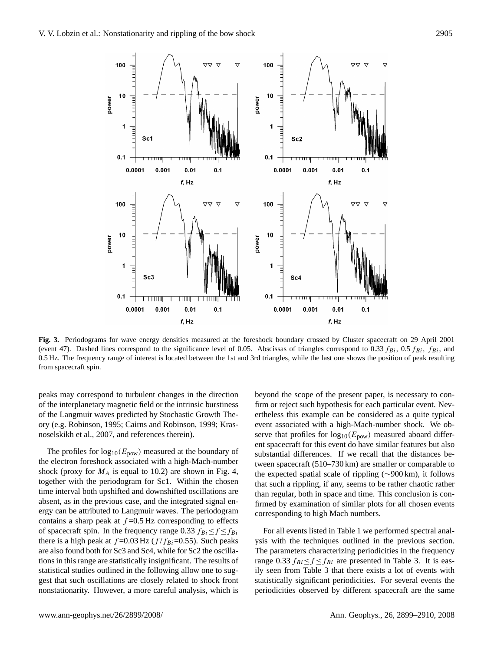

**Fig. 3.** Periodograms for wave energy densities measured at the foreshock boundary crossed by Cluster spacecraft on 29 April 2001 (event 47). Dashed lines correspond to the significance level of 0.05. Abscissas of triangles correspond to 0.33  $f_{Bi}$ , 0.5  $f_{Bi}$ ,  $f_{Bi}$ , and 0.5 Hz. The frequency range of interest is located between the 1st and 3rd triangles, while the last one shows the position of peak resulting from spacecraft spin.

peaks may correspond to turbulent changes in the direction of the interplanetary magnetic field or the intrinsic burstiness of the Langmuir waves predicted by Stochastic Growth Theory (e.g. Robinson, 1995; Cairns and Robinson, 1999; Krasnoselskikh et al., 2007, and references therein).

The profiles for  $log_{10}(E_{\text{pow}})$  measured at the boundary of the electron foreshock associated with a high-Mach-number shock (proxy for  $M_A$  is equal to 10.2) are shown in Fig. 4, together with the periodogram for Sc1. Within the chosen time interval both upshifted and downshifted oscillations are absent, as in the previous case, and the integrated signal energy can be attributed to Langmuir waves. The periodogram contains a sharp peak at  $f = 0.5$  Hz corresponding to effects of spacecraft spin. In the frequency range 0.33  $f_{Bi} \le f \le f_{Bi}$ there is a high peak at  $f=0.03$  Hz ( $f/f_{Bi}=0.55$ ). Such peaks are also found both for Sc3 and Sc4, while for Sc2 the oscillations in this range are statistically insignificant. The results of statistical studies outlined in the following allow one to suggest that such oscillations are closely related to shock front nonstationarity. However, a more careful analysis, which is beyond the scope of the present paper, is necessary to confirm or reject such hypothesis for each particular event. Nevertheless this example can be considered as a quite typical event associated with a high-Mach-number shock. We observe that profiles for  $log_{10}(E_{\text{pow}})$  measured aboard different spacecraft for this event do have similar features but also substantial differences. If we recall that the distances between spacecraft (510–730 km) are smaller or comparable to the expected spatial scale of rippling (∼900 km), it follows that such a rippling, if any, seems to be rather chaotic rather than regular, both in space and time. This conclusion is confirmed by examination of similar plots for all chosen events corresponding to high Mach numbers.

For all events listed in Table 1 we performed spectral analysis with the techniques outlined in the previous section. The parameters characterizing periodicities in the frequency range 0.33  $f_{Bi} \le f \le f_{Bi}$  are presented in Table 3. It is easily seen from Table 3 that there exists a lot of events with statistically significant periodicities. For several events the periodicities observed by different spacecraft are the same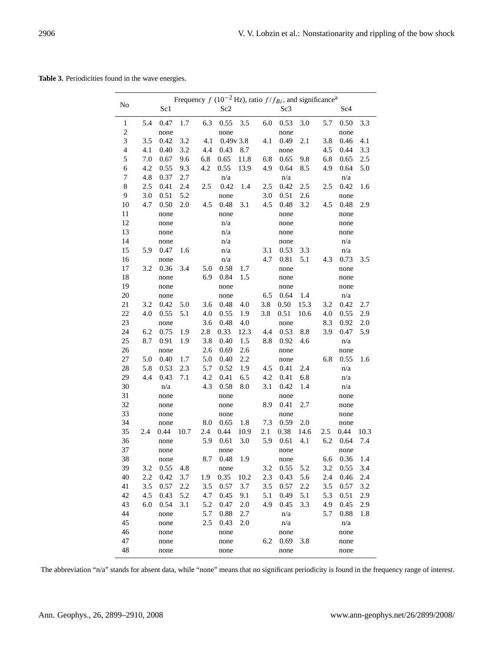**Table 3.** Periodicities found in the wave energies.

| Frequency $f(10^{-2} \text{ Hz})$ , ratio $f/f_{Bi}$ , and significance <sup>a</sup><br>No<br>Sc1<br>Sc <sub>2</sub><br>Sc3<br>Sc <sub>4</sub> |     |      |         |     |             |      |     |      |      |     |      |      |
|------------------------------------------------------------------------------------------------------------------------------------------------|-----|------|---------|-----|-------------|------|-----|------|------|-----|------|------|
|                                                                                                                                                |     |      |         |     |             |      |     |      |      |     |      |      |
| 1                                                                                                                                              | 5.4 | 0.47 | 1.7     | 6.3 | 0.55        | 3.5  | 6.0 | 0.53 | 3.0  | 5.7 | 0.50 | 3.3  |
| $\overline{\mathbf{c}}$                                                                                                                        |     | none |         |     | none        |      |     | none |      |     | none |      |
| $\mathfrak{Z}$                                                                                                                                 | 3.5 | 0.42 | 3.2     | 4.1 | $0.49v$ 3.8 |      | 4.1 | 0.49 | 2.1  | 3.8 | 0.46 | 4.1  |
| $\overline{4}$                                                                                                                                 | 4.1 | 0.40 | 3.2     | 4.4 | 0.43        | 8.7  |     | none |      | 4.5 | 0.44 | 3.3  |
| 5                                                                                                                                              | 7.0 | 0.67 | 9.6     | 6.8 | 0.65        | 11.8 | 6.8 | 0.65 | 9.8  | 6.8 | 0.65 | 2.5  |
| 6                                                                                                                                              | 4.2 | 0.55 | 9.3     | 4.2 | 0.55        | 13.9 | 4.9 | 0.64 | 8.5  | 4.9 | 0.64 | 5.0  |
| 7                                                                                                                                              | 4.8 | 0.37 | 2.7     |     | n/a         |      |     | n/a  |      |     | n/a  |      |
| 8                                                                                                                                              | 2.5 | 0.41 | 2.4     | 2.5 | 0.42        | 1.4  | 2.5 | 0.42 | 2.5  | 2.5 | 0.42 | 1.6  |
| 9                                                                                                                                              | 3.0 | 0.51 | 5.2     |     | none        |      | 3.0 | 0.51 | 2.6  |     | none |      |
| 10                                                                                                                                             | 4.7 | 0.50 | $2.0\,$ | 4.5 | 0.48        | 3.1  | 4.5 | 0.48 | 3.2  | 4.5 | 0.48 | 2.9  |
| 11                                                                                                                                             |     | none |         |     | none        |      |     | none |      |     | none |      |
| 12                                                                                                                                             |     | none |         |     | n/a         |      |     | none |      |     | none |      |
| 13                                                                                                                                             |     | none |         |     | n/a         |      |     | none |      |     | none |      |
| 14                                                                                                                                             |     | none |         |     | n/a         |      |     | none |      |     | n/a  |      |
| 15                                                                                                                                             | 5.9 | 0.47 | 1.6     |     | n/a         |      | 3.1 | 0.53 | 3.3  |     | n/a  |      |
| 16                                                                                                                                             |     | none |         |     | n/a         |      | 4.7 | 0.81 | 5.1  | 4.3 | 0.73 | 3.5  |
| 17                                                                                                                                             | 3.2 | 0.36 | 3.4     | 5.0 | 0.58        | 1.7  |     | none |      |     | none |      |
| 18                                                                                                                                             |     | none |         | 6.9 | 0.84        | 1.5  |     | none |      |     | none |      |
| 19                                                                                                                                             |     | none |         |     | none        |      |     | none |      |     | none |      |
| 20                                                                                                                                             |     | none |         |     | none        |      | 6.5 | 0.64 | 1.4  |     | n/a  |      |
| 21                                                                                                                                             | 3.2 | 0.42 | 5.0     | 3.6 | 0.48        | 4.0  | 3.8 | 0.50 | 15.3 | 3.2 | 0.42 | 2.7  |
| 22                                                                                                                                             | 4.0 | 0.55 | 5.1     | 4.0 | 0.55        | 1.9  | 3.8 | 0.51 | 10.6 | 4.0 | 0.55 | 2.9  |
| 23                                                                                                                                             |     | none |         | 3.6 | 0.48        | 4.0  |     | none |      | 8.3 | 0.92 | 2.0  |
| 24                                                                                                                                             | 6.2 | 0.75 | 1.9     | 2.8 | 0.33        | 12.3 | 4.4 | 0.53 | 8.8  | 3.9 | 0.47 | 5.9  |
| 25                                                                                                                                             | 8.7 | 0.91 | 1.9     | 3.8 | 0.40        | 1.5  | 8.8 | 0.92 | 4.6  |     | n/a  |      |
| 26                                                                                                                                             |     | none |         | 2.6 | 0.69        | 2.6  |     | none |      |     | none |      |
| 27                                                                                                                                             | 5.0 | 0.40 | 1.7     | 5.0 | 0.40        | 2.2  |     | none |      | 6.8 | 0.55 | 1.6  |
| 28                                                                                                                                             | 5.8 | 0.53 | 2.3     | 5.7 | 0.52        | 1.9  | 4.5 | 0.41 | 2.4  |     | n/a  |      |
| 29                                                                                                                                             | 4.4 | 0.43 | 7.1     | 4.2 | 0.41        | 6.5  | 4.2 | 0.41 | 6.8  |     | n/a  |      |
| 30                                                                                                                                             |     | n/a  |         | 4.3 | 0.58        | 8.0  | 3.1 | 0.42 | 1.4  |     | n/a  |      |
| 31                                                                                                                                             |     | none |         |     | none        |      |     | none |      |     | none |      |
| 32                                                                                                                                             |     | none |         |     | none        |      | 8.9 | 0.41 | 2.7  |     | none |      |
| 33                                                                                                                                             |     | none |         |     | none        |      |     | none |      |     | none |      |
| 34                                                                                                                                             |     | none |         | 8.0 | 0.65        | 1.8  | 7.3 | 0.59 | 2.0  |     | none |      |
| 35                                                                                                                                             | 2.4 | 0.44 | 10.7    | 2.4 | 0.44        | 10.9 | 2.1 | 0.38 | 14.6 | 2.5 | 0.44 | 10.3 |
| 36                                                                                                                                             |     | none |         | 5.9 | 0.61        | 3.0  | 5.9 | 0.61 | 4.1  | 6.2 | 0.64 | 7.4  |
| 37                                                                                                                                             |     | none |         |     | none        |      |     | none |      |     | none |      |
| 38                                                                                                                                             |     | none |         | 8.7 | 0.48        | 1.9  |     | none |      | 6.6 | 0.36 | 1.4  |
| 39                                                                                                                                             | 3.2 | 0.55 | 4.8     |     | none        |      | 3.2 | 0.55 | 5.2  | 3.2 | 0.55 | 3.4  |
| 40                                                                                                                                             | 2.2 | 0.42 | 3.7     | 1.9 | 0.35        | 10.2 | 2.3 | 0.43 | 5.6  | 2.4 | 0.46 | 2.4  |
| 41                                                                                                                                             | 3.5 | 0.57 | 2.2     | 3.5 | 0.57        | 3.7  | 3.5 | 0.57 | 2.2  | 3.5 | 0.57 | 3.2  |
| 42                                                                                                                                             | 4.5 | 0.43 | 5.2     | 4.7 | 0.45        | 9.1  | 5.1 | 0.49 | 5.1  | 5.3 | 0.51 | 2.9  |
| 43                                                                                                                                             | 6.0 | 0.54 | 3.1     | 5.2 | 0.47        | 2.0  | 4.9 | 0.45 | 3.3  | 4.9 | 0.45 | 2.9  |
| 44                                                                                                                                             |     | none |         | 5.7 | 0.88        | 2.7  |     | n/a  |      | 5.7 | 0.88 | 1.8  |
| 45                                                                                                                                             |     | none |         | 2.5 | 0.43        | 2.0  |     | n/a  |      |     | n/a  |      |
| 46                                                                                                                                             |     | none |         |     | none        |      |     | none |      |     | none |      |
| 47                                                                                                                                             |     | none |         |     | none        |      | 6.2 | 0.69 | 3.8  |     | none |      |
| 48                                                                                                                                             |     | none |         |     | none        |      |     | none |      |     | none |      |

The abbreviation "n/a" stands for absent data, while "none" means that no significant periodicity is found in the frequency range of interest.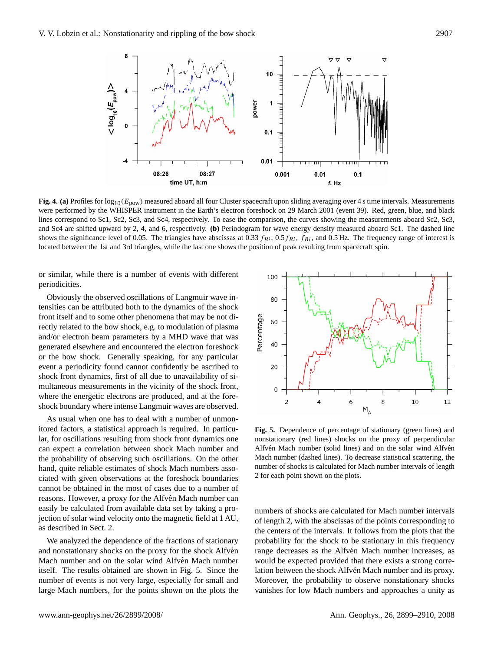

**Fig. 4. (a)** Profiles for log<sub>10</sub>( $E_{\text{pow}}$ ) measured aboard all four Cluster spacecraft upon sliding averaging over 4 s time intervals. Measurements were performed by the WHISPER instrument in the Earth's electron foreshock on 29 March 2001 (event 39). Red, green, blue, and black lines correspond to Sc1, Sc2, Sc3, and Sc4, respectively. To ease the comparison, the curves showing the measurements aboard Sc2, Sc3, and Sc4 are shifted upward by 2, 4, and 6, respectively. **(b)** Periodogram for wave energy density measured aboard Sc1. The dashed line shows the significance level of 0.05. The triangles have abscissas at 0.33  $f_{Bi}$ , 0.5 $f_{Bi}$ ,  $f_{Bi}$ , and 0.5 Hz. The frequency range of interest is located between the 1st and 3rd triangles, while the last one shows the position of peak resulting from spacecraft spin.

or similar, while there is a number of events with different periodicities.

Obviously the observed oscillations of Langmuir wave intensities can be attributed both to the dynamics of the shock front itself and to some other phenomena that may be not directly related to the bow shock, e.g. to modulation of plasma and/or electron beam parameters by a MHD wave that was generated elsewhere and encountered the electron foreshock or the bow shock. Generally speaking, for any particular event a periodicity found cannot confidently be ascribed to shock front dynamics, first of all due to unavailability of simultaneous measurements in the vicinity of the shock front, where the energetic electrons are produced, and at the foreshock boundary where intense Langmuir waves are observed.

As usual when one has to deal with a number of unmonitored factors, a statistical approach is required. In particular, for oscillations resulting from shock front dynamics one can expect a correlation between shock Mach number and the probability of observing such oscillations. On the other hand, quite reliable estimates of shock Mach numbers associated with given observations at the foreshock boundaries cannot be obtained in the most of cases due to a number of reasons. However, a proxy for the Alfvén Mach number can easily be calculated from available data set by taking a projection of solar wind velocity onto the magnetic field at 1 AU, as described in Sect. 2.

We analyzed the dependence of the fractions of stationary and nonstationary shocks on the proxy for the shock Alfven Mach number and on the solar wind Alfvén Mach number itself. The results obtained are shown in Fig. 5. Since the number of events is not very large, especially for small and large Mach numbers, for the points shown on the plots the



**Fig. 5.** Dependence of percentage of stationary (green lines) and nonstationary (red lines) shocks on the proxy of perpendicular Alfvén Mach number (solid lines) and on the solar wind Alfvén Mach number (dashed lines). To decrease statistical scattering, the number of shocks is calculated for Mach number intervals of length 2 for each point shown on the plots.

numbers of shocks are calculated for Mach number intervals of length 2, with the abscissas of the points corresponding to the centers of the intervals. It follows from the plots that the probability for the shock to be stationary in this frequency range decreases as the Alfvén Mach number increases, as would be expected provided that there exists a strong correlation between the shock Alfvén Mach number and its proxy. Moreover, the probability to observe nonstationary shocks vanishes for low Mach numbers and approaches a unity as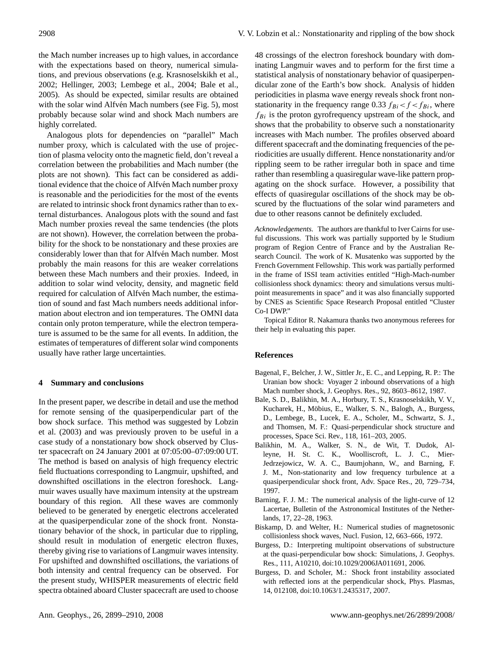the Mach number increases up to high values, in accordance with the expectations based on theory, numerical simulations, and previous observations (e.g. Krasnoselskikh et al., 2002; Hellinger, 2003; Lembege et al., 2004; Bale et al., 2005). As should be expected, similar results are obtained with the solar wind Alfvén Mach numbers (see Fig. 5), most probably because solar wind and shock Mach numbers are highly correlated.

Analogous plots for dependencies on "parallel" Mach number proxy, which is calculated with the use of projection of plasma velocity onto the magnetic field, don't reveal a correlation between the probabilities and Mach number (the plots are not shown). This fact can be considered as additional evidence that the choice of Alfvén Mach number proxy is reasonable and the periodicities for the most of the events are related to intrinsic shock front dynamics rather than to external disturbances. Analogous plots with the sound and fast Mach number proxies reveal the same tendencies (the plots are not shown). However, the correlation between the probability for the shock to be nonstationary and these proxies are considerably lower than that for Alfvén Mach number. Most probably the main reasons for this are weaker correlations between these Mach numbers and their proxies. Indeed, in addition to solar wind velocity, density, and magnetic field required for calculation of Alfvén Mach number, the estimation of sound and fast Mach numbers needs additional information about electron and ion temperatures. The OMNI data contain only proton temperature, while the electron temperature is assumed to be the same for all events. In addition, the estimates of temperatures of different solar wind components usually have rather large uncertainties.

# **4 Summary and conclusions**

In the present paper, we describe in detail and use the method for remote sensing of the quasiperpendicular part of the bow shock surface. This method was suggested by Lobzin et al. (2003) and was previously proven to be useful in a case study of a nonstationary bow shock observed by Cluster spacecraft on 24 January 2001 at 07:05:00–07:09:00 UT. The method is based on analysis of high frequency electric field fluctuations corresponding to Langmuir, upshifted, and downshifted oscillations in the electron foreshock. Langmuir waves usually have maximum intensity at the upstream boundary of this region. All these waves are commonly believed to be generated by energetic electrons accelerated at the quasiperpendicular zone of the shock front. Nonstationary behavior of the shock, in particular due to rippling, should result in modulation of energetic electron fluxes, thereby giving rise to variations of Langmuir waves intensity. For upshifted and downshifted oscillations, the variations of both intensity and central frequency can be observed. For the present study, WHISPER measurements of electric field spectra obtained aboard Cluster spacecraft are used to choose

48 crossings of the electron foreshock boundary with dominating Langmuir waves and to perform for the first time a statistical analysis of nonstationary behavior of quasiperpendicular zone of the Earth's bow shock. Analysis of hidden periodicities in plasma wave energy reveals shock front nonstationarity in the frequency range 0.33  $f_{Bi} < f < f_{Bi}$ , where  $f_{Bi}$  is the proton gyrofrequency upstream of the shock, and shows that the probability to observe such a nonstationarity increases with Mach number. The profiles observed aboard different spacecraft and the dominating frequencies of the periodicities are usually different. Hence nonstationarity and/or rippling seem to be rather irregular both in space and time rather than resembling a quasiregular wave-like pattern propagating on the shock surface. However, a possibility that effects of quasiregular oscillations of the shock may be obscured by the fluctuations of the solar wind parameters and due to other reasons cannot be definitely excluded.

*Acknowledgements.* The authors are thankful to Iver Cairns for useful discussions. This work was partially supported by le Studium program of Region Centre of France and by the Australian Research Council. The work of K. Musatenko was supported by the French Government Fellowship. This work was partially performed in the frame of ISSI team activities entitled "High-Mach-number collisionless shock dynamics: theory and simulations versus multipoint measurements in space" and it was also financially supported by CNES as Scientific Space Research Proposal entitled "Cluster Co-I DWP."

Topical Editor R. Nakamura thanks two anonymous referees for their help in evaluating this paper.

## **References**

- Bagenal, F., Belcher, J. W., Sittler Jr., E. C., and Lepping, R. P.: The Uranian bow shock: Voyager 2 inbound observations of a high Mach number shock, J. Geophys. Res., 92, 8603–8612, 1987.
- Bale, S. D., Balikhin, M. A., Horbury, T. S., Krasnoselskikh, V. V., Kucharek, H., Möbius, E., Walker, S. N., Balogh, A., Burgess, D., Lembege, B., Lucek, E. A., Scholer, M., Schwartz, S. J., and Thomsen, M. F.: Quasi-perpendicular shock structure and processes, Space Sci. Rev., 118, 161–203, 2005.
- Balikhin, M. A., Walker, S. N., de Wit, T. Dudok, Alleyne, H. St. C. K., Woolliscroft, L. J. C., Mier-Jedrzejowicz, W. A. C., Baumjohann, W., and Barning, F. J. M., Non-stationarity and low frequency turbulence at a quasiperpendicular shock front, Adv. Space Res., 20, 729–734, 1997.
- Barning, F. J. M.: The numerical analysis of the light-curve of 12 Lacertae, Bulletin of the Astronomical Institutes of the Netherlands, 17, 22–28, 1963.
- Biskamp, D. and Welter, H.: Numerical studies of magnetosonic collisionless shock waves, Nucl. Fusion, 12, 663–666, 1972.
- Burgess, D.: Interpreting multipoint observations of substructure at the quasi-perpendicular bow shock: Simulations, J. Geophys. Res., 111, A10210, doi:10.1029/2006JA011691, 2006.
- Burgess, D. and Scholer, M.: Shock front instability associated with reflected ions at the perpendicular shock, Phys. Plasmas, 14, 012108, doi:10.1063/1.2435317, 2007.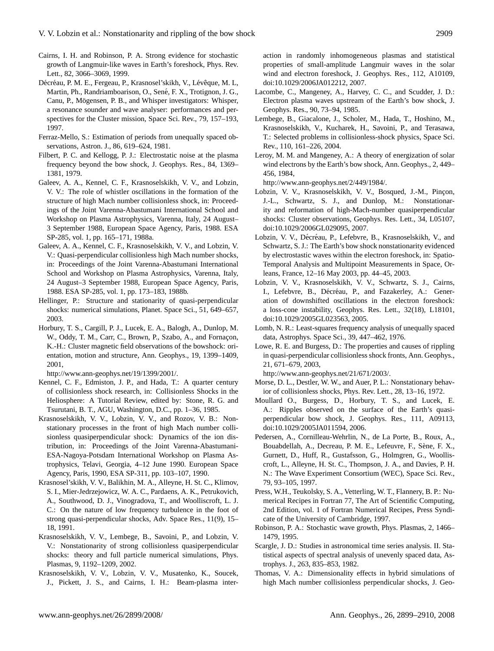- Cairns, I. H. and Robinson, P. A. Strong evidence for stochastic growth of Langmuir-like waves in Earth's foreshock, Phys. Rev. Lett., 82, 3066–3069, 1999.
- Décréau, P. M. E., Fergeau, P., Krasnosel'skikh, V., Lévêque, M. L, Martin, Ph., Randriamboarison, O., Sené, F. X., Trotignon, J. G., Canu, P., Mögensen, P. B., and Whisper investigators: Whisper, a resonance sounder and wave analyser: performances and perspectives for the Cluster mission, Space Sci. Rev., 79, 157–193, 1997.
- Ferraz-Mello, S.: Estimation of periods from unequally spaced observations, Astron. J., 86, 619–624, 1981.
- Filbert, P. C. and Kellogg, P. J.: Electrostatic noise at the plasma frequency beyond the bow shock, J. Geophys. Res., 84, 1369– 1381, 1979.
- Galeev, A. A., Kennel, C. F., Krasnoselskikh, V. V., and Lobzin, V. V.: The role of whistler oscillations in the formation of the structure of high Mach number collisionless shock, in: Proceedings of the Joint Varenna-Abastumani International School and Workshop on Plasma Astrophysics, Varenna, Italy, 24 August– 3 September 1988, European Space Agency, Paris, 1988. ESA SP-285, vol. 1, pp. 165–171, 1988a.
- Galeev, A. A., Kennel, C. F., Krasnoselskikh, V. V., and Lobzin, V. V.: Quasi-perpendicular collisionless high Mach number shocks, in: Proceedings of the Joint Varenna-Abastumani International School and Workshop on Plasma Astrophysics, Varenna, Italy, 24 August–3 September 1988, European Space Agency, Paris, 1988. ESA SP-285, vol. 1, pp. 173–183, 1988b.
- Hellinger, P.: Structure and stationarity of quasi-perpendicular shocks: numerical simulations, Planet. Space Sci., 51, 649–657, 2003.
- Horbury, T. S., Cargill, P. J., Lucek, E. A., Balogh, A., Dunlop, M. W., Oddy, T. M., Carr, C., Brown, P., Szabo, A., and Fornaçon, K.-H.: Cluster magnetic field observations of the bowshock: orientation, motion and structure, Ann. Geophys., 19, 1399–1409, 2001,

[http://www.ann-geophys.net/19/1399/2001/.](http://www.ann-geophys.net/19/1399/2001/)

- Kennel, C. F., Edmiston, J. P., and Hada, T.: A quarter century of collisionless shock research, in: Collisionless Shocks in the Heliosphere: A Tutorial Review, edited by: Stone, R. G. and Tsurutani, B. T., AGU, Washington, D.C., pp. 1–36, 1985.
- Krasnoselskikh, V. V., Lobzin, V. V., and Rozov, V. B.: Nonstationary processes in the front of high Mach number collisionless quasiperpendicular shock: Dynamics of the ion distribution, in: Proceedings of the Joint Varenna-Abastumani-ESA-Nagoya-Potsdam International Workshop on Plasma Astrophysics, Telavi, Georgia, 4–12 June 1990. European Space Agency, Paris, 1990, ESA SP-311, pp. 103–107, 1990.
- Krasnosel'skikh, V. V., Balikhin, M. A., Alleyne, H. St. C., Klimov, S. I., Mier-Jedrzejowicz, W. A. C., Pardaens, A. K., Petrukovich, A., Southwood, D. J., Vinogradova, T., and Woolliscroft, L. J. C.: On the nature of low frequency turbulence in the foot of strong quasi-perpendicular shocks, Adv. Space Res., 11(9), 15– 18, 1991.
- Krasnoselskikh, V. V., Lembege, B., Savoini, P., and Lobzin, V. V.: Nonstationarity of strong collisionless quasiperpendicular shocks: theory and full particle numerical simulations, Phys. Plasmas, 9, 1192–1209, 2002.
- Krasnoselskikh, V. V., Lobzin, V. V., Musatenko, K., Soucek, J., Pickett, J. S., and Cairns, I. H.: Beam-plasma inter-

action in randomly inhomogeneous plasmas and statistical properties of small-amplitude Langmuir waves in the solar wind and electron foreshock, J. Geophys. Res., 112, A10109, doi:10.1029/2006JA012212, 2007.

- Lacombe, C., Mangeney, A., Harvey, C. C., and Scudder, J. D.: Electron plasma waves upstream of the Earth's bow shock, J. Geophys. Res., 90, 73–94, 1985.
- Lembege, B., Giacalone, J., Scholer, M., Hada, T., Hoshino, M., Krasnoselskikh, V., Kucharek, H., Savoini, P., and Terasawa, T.: Selected problems in collisionless-shock physics, Space Sci. Rev., 110, 161–226, 2004.
- Leroy, M. M. and Mangeney, A.: A theory of energization of solar wind electrons by the Earth's bow shock, Ann. Geophys., 2, 449– 456, 1984,

[http://www.ann-geophys.net/2/449/1984/.](http://www.ann-geophys.net/2/449/1984/)

- Lobzin, V. V., Krasnoselskikh, V. V., Bosqued, J.-M., Pinçon, J.-L., Schwartz, S. J., and Dunlop, M.: Nonstationarity and reformation of high-Mach-number quasiperpendicular shocks: Cluster observations, Geophys. Res. Lett., 34, L05107, doi:10.1029/2006GL029095, 2007.
- Lobzin, V. V., Décréau, P., Lefebvre, B., Krasnoselskikh, V., and Schwartz, S. J.: The Earth's bow shock nonstationarity evidenced by electrostastic waves within the electron foreshock, in: Spatio-Temporal Analysis and Multipoint Measurements in Space, Orleans, France, 12–16 May 2003, pp. 44–45, 2003.
- Lobzin, V. V., Krasnoselskikh, V. V., Schwartz, S. J., Cairns, I., Lefebvre, B., Décréau, P., and Fazakerley, A.: Generation of downshifted oscillations in the electron foreshock: a loss-cone instability, Geophys. Res. Lett., 32(18), L18101, doi:10.1029/2005GL023563, 2005.
- Lomb, N. R.: Least-squares frequency analysis of unequally spaced data, Astrophys. Space Sci., 39, 447–462, 1976.
- Lowe, R. E. and Burgess, D.: The properties and causes of rippling in quasi-perpendicular collisionless shock fronts, Ann. Geophys., 21, 671–679, 2003,

[http://www.ann-geophys.net/21/671/2003/.](http://www.ann-geophys.net/21/671/2003/)

- Morse, D. L., Destler, W. W., and Auer, P. L.: Nonstationary behavior of collisionless shocks, Phys. Rev. Lett., 28, 13–16, 1972.
- Moullard O., Burgess, D., Horbury, T. S., and Lucek, E. A.: Ripples observed on the surface of the Earth's quasiperpendicular bow shock, J. Geophys. Res., 111, A09113, doi:10.1029/2005JA011594, 2006.
- Pedersen, A., Cornilleau-Wehrlin, N., de La Porte, B., Roux, A., Bouabdellah, A., Decreau, P. M. E., Lefeuvre, F., Sene, F. X., ` Gurnett, D., Huff, R., Gustafsson, G., Holmgren, G., Woolliscroft, L., Alleyne, H. St. C., Thompson, J. A., and Davies, P. H. N.: The Wave Experiment Consortium (WEC), Space Sci. Rev., 79, 93–105, 1997.
- Press, W.H., Teukolsky, S. A., Vetterling, W. T., Flannery, B. P.: Numerical Recipes in Fortran 77, The Art of Scientific Computing, 2nd Edition, vol. 1 of Fortran Numerical Recipes, Press Syndicate of the University of Cambridge, 1997.
- Robinson, P. A.: Stochastic wave growth, Phys. Plasmas, 2, 1466– 1479, 1995.
- Scargle, J. D.: Studies in astronomical time series analysis. II. Statistical aspects of spectral analysis of unevenly spaced data, Astrophys. J., 263, 835–853, 1982.
- Thomas, V. A.: Dimensionality effects in hybrid simulations of high Mach number collisionless perpendicular shocks, J. Geo-